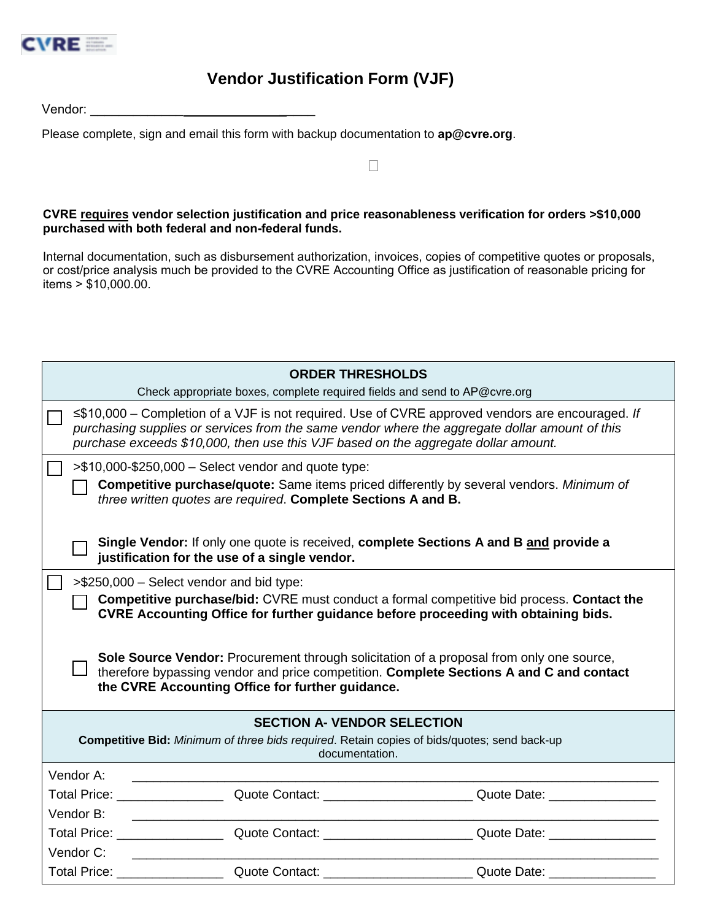

## **Vendor Justification Form (VJF)**

Vendor: **With a set of the US** 

Please complete, sign and email this form with backup documentation to **ap@cvre.org**.

**CVRE requires vendor selection justification and price reasonableness verification for orders >\$10,000 purchased with both federal and non-federal funds.**

 $\Box$ 

Internal documentation, such as disbursement authorization, invoices, copies of competitive quotes or proposals, or cost/price analysis much be provided to the CVRE Accounting Office as justification of reasonable pricing for items  $> $10,000.00$ .

|                                                                                                                                                                                                                                                                                                                                                                                                                                                                               | <b>ORDER THRESHOLDS</b> | Check appropriate boxes, complete required fields and send to AP@cvre.org                                                                                                                                                      |  |
|-------------------------------------------------------------------------------------------------------------------------------------------------------------------------------------------------------------------------------------------------------------------------------------------------------------------------------------------------------------------------------------------------------------------------------------------------------------------------------|-------------------------|--------------------------------------------------------------------------------------------------------------------------------------------------------------------------------------------------------------------------------|--|
| ≤\$10,000 – Completion of a VJF is not required. Use of CVRE approved vendors are encouraged. If<br>purchasing supplies or services from the same vendor where the aggregate dollar amount of this<br>purchase exceeds \$10,000, then use this VJF based on the aggregate dollar amount.                                                                                                                                                                                      |                         |                                                                                                                                                                                                                                |  |
| $\frac{1}{2}$ = \$10,000-\$250,000 – Select vendor and quote type:<br><b>Competitive purchase/quote:</b> Same items priced differently by several vendors. Minimum of<br>three written quotes are required. Complete Sections A and B.                                                                                                                                                                                                                                        |                         |                                                                                                                                                                                                                                |  |
| Single Vendor: If only one quote is received, complete Sections A and B and provide a<br>justification for the use of a single vendor.                                                                                                                                                                                                                                                                                                                                        |                         |                                                                                                                                                                                                                                |  |
| >\$250,000 - Select vendor and bid type:<br><b>Competitive purchase/bid:</b> CVRE must conduct a formal competitive bid process. Contact the<br>CVRE Accounting Office for further guidance before proceeding with obtaining bids.<br>Sole Source Vendor: Procurement through solicitation of a proposal from only one source,<br>therefore bypassing vendor and price competition. Complete Sections A and C and contact<br>the CVRE Accounting Office for further guidance. |                         |                                                                                                                                                                                                                                |  |
| <b>SECTION A- VENDOR SELECTION</b><br><b>Competitive Bid:</b> Minimum of three bids required. Retain copies of bids/quotes; send back-up<br>documentation.                                                                                                                                                                                                                                                                                                                    |                         |                                                                                                                                                                                                                                |  |
| Vendor A:                                                                                                                                                                                                                                                                                                                                                                                                                                                                     |                         |                                                                                                                                                                                                                                |  |
| Total Price: ________________                                                                                                                                                                                                                                                                                                                                                                                                                                                 |                         |                                                                                                                                                                                                                                |  |
| Vendor B:                                                                                                                                                                                                                                                                                                                                                                                                                                                                     |                         |                                                                                                                                                                                                                                |  |
|                                                                                                                                                                                                                                                                                                                                                                                                                                                                               |                         | Total Price: Campbell Contact: Contact: Contact: Quote Date: Contact: Contact: Contact: Contact: Contact: Contact: Contact: Contact: Contact: Contact: Contact: Contact: Contact: Contact: Contact: Contact: Contact: Contact: |  |
| Vendor C:                                                                                                                                                                                                                                                                                                                                                                                                                                                                     |                         |                                                                                                                                                                                                                                |  |
|                                                                                                                                                                                                                                                                                                                                                                                                                                                                               |                         | Total Price: Cuote Contact: Contacter Contacter Cuote Date:                                                                                                                                                                    |  |